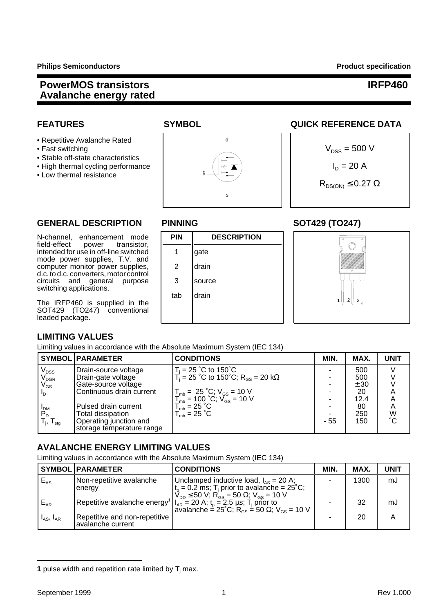- Repetitive Avalanche Rated
- 
- Stable off-state characteristics
- 
- Low thermal resistance



# **FEATURES SYMBOL SYMBOL QUICK REFERENCE DATA**



1 | 2 | 3

## GENERAL DESCRIPTION PINNING SOT429 (TO247)

N-channel, enhancement mode **PIN DESCRIPTION**<br>field-effect power transistor, **PIN** DESCRIPTION transistor. intended for use in off-line switched  $\begin{array}{|c|c|c|c|c|} \hline \end{array}$  1 gate mode power supplies, T.V. and computer monitor power supplies, | 2 drain d.c. to d.c. converters, motorcontrol circuits and general purpose | 3 | source switching applications.

The IRFP460 is supplied in the SOT429 (TO247) conventional leaded package.

## **LIMITING VALUES**

Limiting values in accordance with the Absolute Maximum System (IEC 134)

tab Idrain

|                             | <b>SYMBOL   PARAMETER</b> | <b>CONDITIONS</b>                                                               | MIN. | MAX. | <b>UNIT</b> |
|-----------------------------|---------------------------|---------------------------------------------------------------------------------|------|------|-------------|
| $V_{\text{DSS}}$            | Drain-source voltage      | $T_i = 25$ °C to 150°C                                                          |      | 500  |             |
| $\mathsf{V}_{\texttt{DGR}}$ | Drain-gate voltage        | $T_i = 25$ °C to 150°C; R <sub>GS</sub> = 20 kΩ                                 |      | 500  |             |
| $\rm V_{GS}$                | Gate-source voltage       |                                                                                 |      | ± 30 |             |
| $I_{\rm D}$                 | Continuous drain current  | $T_{mb} = 25 °C; V_{GS} = 10 V$<br>$T_{mb} = 100 °C; V_{GS} = 10 V$             |      | 20   |             |
|                             |                           |                                                                                 |      | 12.4 |             |
|                             | Pulsed drain current      |                                                                                 |      | 80   | A           |
| $P_D$ <sub>DM</sub>         | Total dissipation         | $T_{\text{mb}}^{\text{max}} = 25 \text{ °C}$<br>$T_{\text{mb}} = 25 \text{ °C}$ |      | 250  | W<br>°C     |
| $T_{\rm j}$ , $T_{\rm stg}$ | Operating junction and    |                                                                                 | - 55 | 150  |             |
|                             | storage temperature range |                                                                                 |      |      |             |

## **AVALANCHE ENERGY LIMITING VALUES**

Limiting values in accordance with the Absolute Maximum System (IEC 134)

|                     | SYMBOL   PARAMETER                                 | <b>CONDITIONS</b>                                                                                                                                                                                                                                                                                                    | <b>MIN</b> | MAX. | UNIT |
|---------------------|----------------------------------------------------|----------------------------------------------------------------------------------------------------------------------------------------------------------------------------------------------------------------------------------------------------------------------------------------------------------------------|------------|------|------|
| $"E_{AS}$           | Non-repetitive avalanche<br>energy                 | Unclamped inductive load, $I_{AS} = 20$ A;<br>$t_p = 0.2$ ms; T <sub>j</sub> prior to avalanche = 25°C;                                                                                                                                                                                                              |            | 1300 | mJ   |
| $E_{AR}$            |                                                    | $V_{\text{DD}} \le 50 \text{ V}$ ; R <sub>GS</sub> = 50 $\Omega$ ; V <sub>GS</sub> = 10 V<br>Repetitive avalanche energy <sup>1</sup> $\begin{vmatrix} I_{AR} = 20 \text{ A}; t_p = 2.5 \text{ }\mu\text{s}; T_j \text{ prior to} \end{vmatrix}$<br>avalanche = 25°C; R <sub>GS</sub> = 50 Ω; V <sub>GS</sub> = 10 V |            | 32   | mJ   |
| $I_{AS}$ , $I_{AR}$ | Repetitive and non-repetitive<br>avalanche current |                                                                                                                                                                                                                                                                                                                      |            | 20   |      |

**<sup>1</sup>** pulse width and repetition rate limited by  $T_i$  max.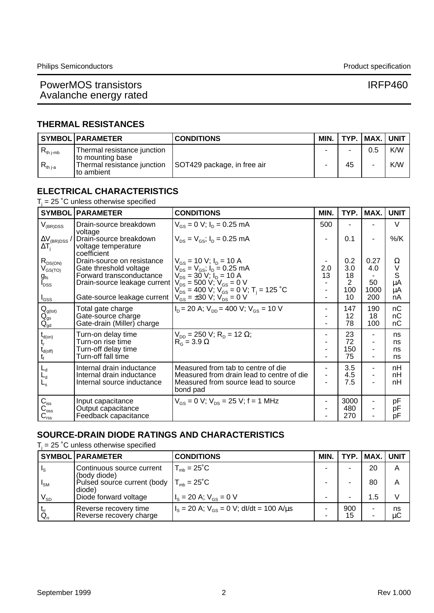## **THERMAL RESISTANCES**

|                | <b>SYMBOL PARAMETER</b>                                         | <b>CONDITIONS</b>           | MIN. |                          | TYP.   MAX.   UNIT |     |
|----------------|-----------------------------------------------------------------|-----------------------------|------|--------------------------|--------------------|-----|
| $R_{th\ j-mb}$ | Thermal resistance junction                                     |                             |      | $\overline{\phantom{a}}$ | 0.5                | K/W |
| $R_{th\,$ i-a  | to mounting base<br>Thermal resistance junction<br>I to ambient | SOT429 package, in free air |      | 45                       |                    | K/W |

## **ELECTRICAL CHARACTERISTICS**

### $T_j$  = 25  $^{\circ}$ C unless otherwise specified

| <b>SYMBOL</b>                          | <b>PARAMETER</b>                                             | <b>CONDITIONS</b>                                                                | MIN.      | TYP.           | MAX. | <b>UNIT</b>                  |
|----------------------------------------|--------------------------------------------------------------|----------------------------------------------------------------------------------|-----------|----------------|------|------------------------------|
| $V_{(BR)DSS}$                          | Drain-source breakdown<br>voltage                            | $V_{GS} = 0$ V; $I_D = 0.25$ mA                                                  | 500       |                |      | $\vee$                       |
| $\Delta V_{(BR)DSS}$ /<br>$\Delta T_i$ | Drain-source breakdown<br>voltage temperature<br>coefficient | $V_{DS} = V_{GS}$ ; $I_D = 0.25$ mA                                              |           | 0.1            |      | $%$ /K                       |
| $R_{DS(ON)}$                           | Drain-source on resistance                                   | $V_{GS}$ = 10 V; $I_D$ = 10 A                                                    |           | 0.2            | 0.27 | Ω                            |
| $V_{GS(TO)}$                           | Gate threshold voltage<br>Forward transconductance           | $V_{DS} = V_{GS}$ ; $I_D = 0.25$ mA<br>$V_{DS} = 30$ V; $I_D = 10$ A             | 2.0<br>13 | 3.0<br>18      | 4.0  | V<br>$\overline{\mathbf{s}}$ |
| $g_{\rm fs}$<br>$I_{\text{DSS}}$       | Drain-source leakage current                                 | $V_{DS} = 500 V$ ; $V_{GS} = 0 V$                                                |           | $\overline{2}$ | 50   | μA                           |
|                                        |                                                              | $V_{DS} = 400$ V; $V_{GS} = 0$ V; T <sub>i</sub> = 125 °C                        |           | 100            | 1000 | μA                           |
| $I_{GSS}$                              | Gate-source leakage current                                  | $V_{GS}$ = ±30 V; V <sub>DS</sub> = 0 V                                          |           | 10             | 200  | nA                           |
|                                        | Total gate charge                                            | $I_p = 20$ A; $V_{pp} = 400$ V; $V_{gs} = 10$ V                                  |           | 147            | 190  | nС                           |
| $\underset{Q_{gd}}{Q_{gs}}$            | Gate-source charge                                           |                                                                                  |           | 12             | 18   | nC                           |
|                                        | Gate-drain (Miller) charge                                   |                                                                                  |           | 78             | 100  | nC                           |
| $t_{d(on)}$                            | Turn-on delay time                                           | $V_{\text{DD}}$ = 250 V; R <sub>D</sub> = 12 $\Omega$ ;                          |           | 23             |      | ns                           |
|                                        | Turn-on rise time                                            | $R_G$ = 3.9 $\Omega$                                                             |           | 72             | ٠    | ns                           |
| $\rm t_{d(off)}$                       | Turn-off delay time<br>Turn-off fall time                    |                                                                                  |           | 150<br>75      |      | ns<br>ns                     |
|                                        |                                                              |                                                                                  |           |                |      |                              |
| $L_d$                                  | Internal drain inductance                                    | Measured from tab to centre of die                                               |           | 3.5            | ۰    | nH                           |
| $L_d$                                  | Internal drain inductance<br>Internal source inductance      | Measured from drain lead to centre of die<br>Measured from source lead to source |           | 4.5<br>7.5     | ۰    | nH<br>nH                     |
| $L_{\rm s}$                            |                                                              | bond pad                                                                         |           |                |      |                              |
| $C_{\text{iss}}$                       | Input capacitance                                            | $V_{GS} = 0$ V; $V_{DS} = 25$ V; f = 1 MHz                                       |           | 3000           |      | pF                           |
| $C_{\rm{oss}}$                         | Output capacitance                                           |                                                                                  |           | 480            |      | pF                           |
| $C_{\text{rss}}$                       | Feedback capacitance                                         |                                                                                  |           | 270            |      | рF                           |

### **SOURCE-DRAIN DIODE RATINGS AND CHARACTERISTICS**

 $T_i$  = 25 °C unless otherwise specified

|                                | <b>SYMBOL PARAMETER</b>                          | <b>CONDITIONS</b>                              | MIN. |                | TYP.   MAX.   UNIT |          |
|--------------------------------|--------------------------------------------------|------------------------------------------------|------|----------------|--------------------|----------|
| $\vert \, \vert_{\text{S}}$    | Continuous source current<br>(body diode)        | $T_{\text{mb}} = 25^{\circ}C$                  |      |                | 20                 | Α        |
| $\mathsf{I}_{\mathsf{SM}}$     | Pulsed source current (body<br>diode)            | $T_{\text{mb}} = 25^{\circ}$ C                 |      | -              | 80                 | Α        |
| $V_{SD}$                       | Diode forward voltage                            | $I_s = 20$ A; $V_{gs} = 0$ V                   |      | $\blacksquare$ | 1.5                |          |
| $\frac{t_{\rm r}}{Q_{\rm rr}}$ | Reverse recovery time<br>Reverse recovery charge | $I_s = 20$ A; $V_{gs} = 0$ V; dl/dt = 100 A/us |      | 900<br>15      |                    | ns<br>μC |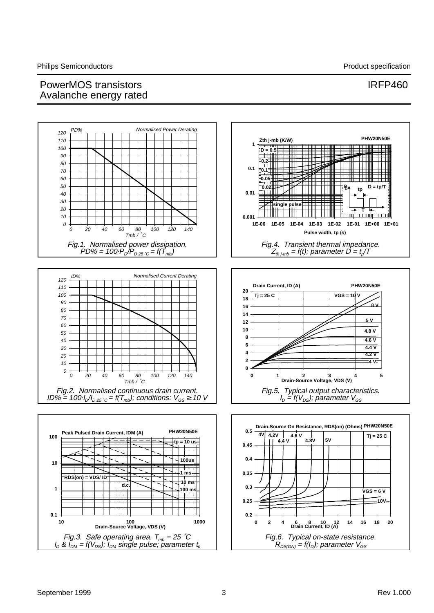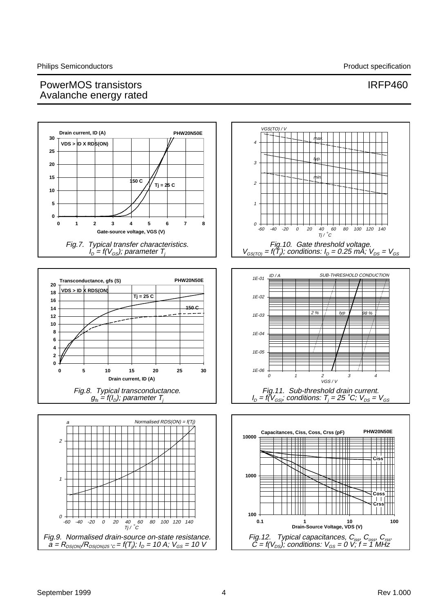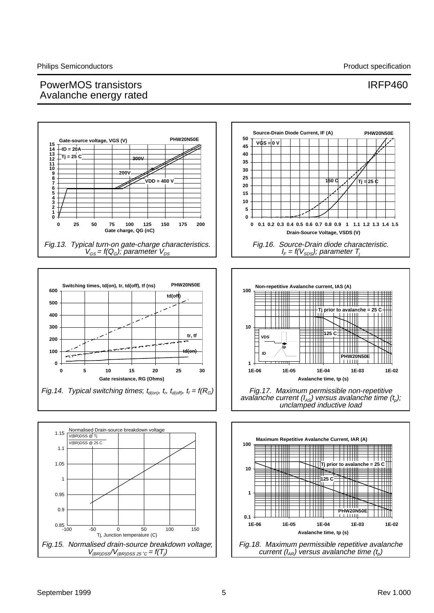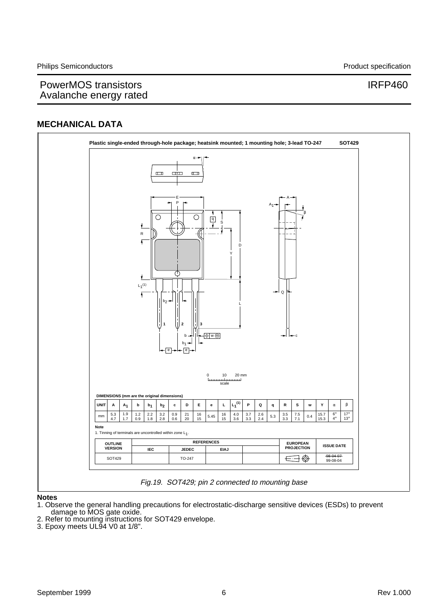## **MECHANICAL DATA**



### **Notes**

- 1. Observe the general handling precautions for electrostatic-discharge sensitive devices (ESDs) to prevent damage to MOS gate oxide.
- 2. Refer to mounting instructions for SOT429 envelope.
- 3. Epoxy meets UL94 V0 at 1/8".